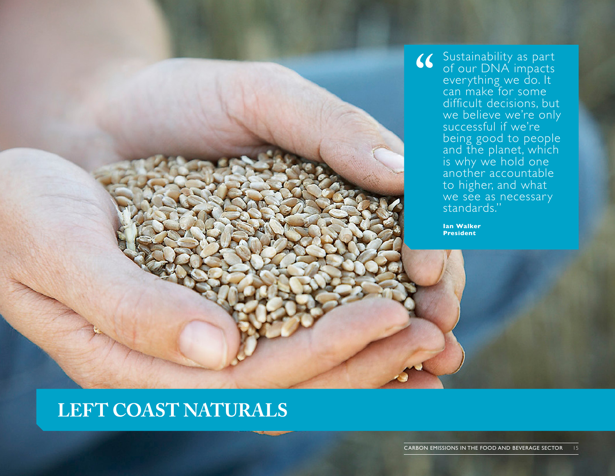Sustainability as part of our DNA impacts everything we do. It can make for some difficult decisions, but we believe we're only successful if we're being good to people and the planet, which is why we hold one another accountable to higher, and what we see as necessary standards." **" Ian Walker**

**President**

## **LEFT COAST NATURALS**

CARBON EMISSIONS IN THE FOOD AND BEVERAGE SECTOR 15